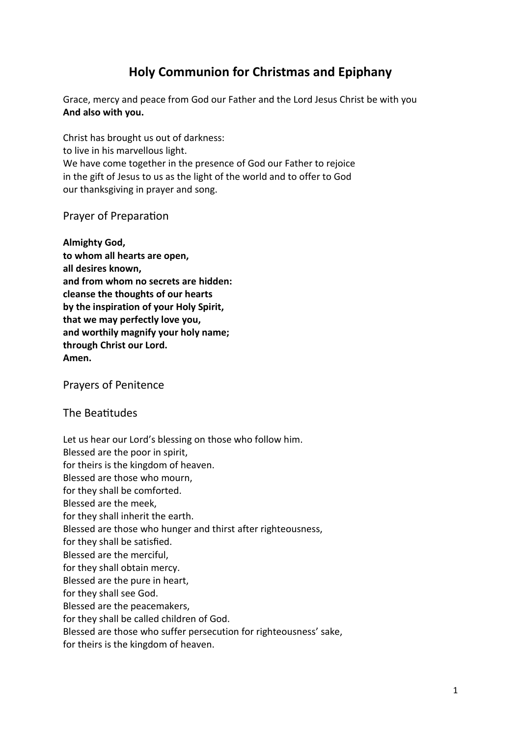# **Holy Communion for Christmas and Epiphany**

Grace, mercy and peace from God our Father and the Lord Jesus Christ be with you **And also with you.**

Christ has brought us out of darkness: to live in his marvellous light. We have come together in the presence of God our Father to rejoice in the gift of Jesus to us as the light of the world and to offer to God our thanksgiving in prayer and song.

#### Prayer of Preparation

**Almighty God, to whom all hearts are open, all desires known, and from whom no secrets are hidden: cleanse the thoughts of our hearts by the inspiration of your Holy Spirit, that we may perfectly love you, and worthily magnify your holy name; through Christ our Lord. Amen.**

Prayers of Penitence

The Beatitudes

Let us hear our Lord's blessing on those who follow him. Blessed are the poor in spirit, for theirs is the kingdom of heaven. Blessed are those who mourn, for they shall be comforted. Blessed are the meek, for they shall inherit the earth. Blessed are those who hunger and thirst after righteousness, for they shall be satisfied. Blessed are the merciful, for they shall obtain mercy. Blessed are the pure in heart, for they shall see God. Blessed are the peacemakers, for they shall be called children of God. Blessed are those who suffer persecution for righteousness' sake, for theirs is the kingdom of heaven.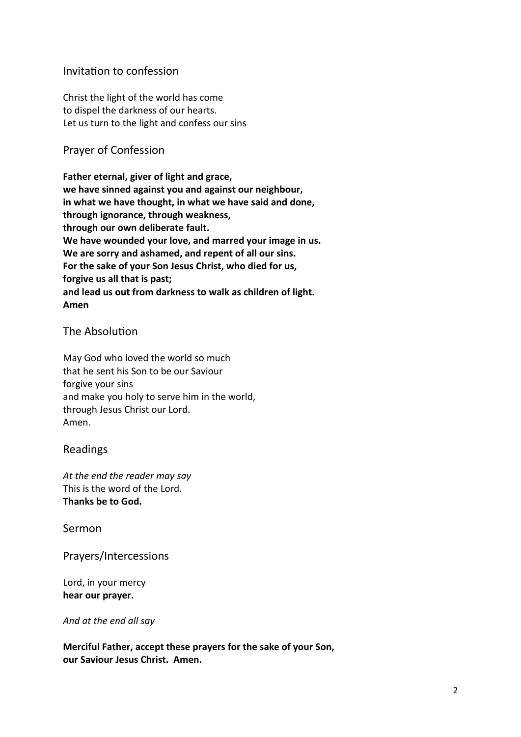# Invitation to confession

Christ the light of the world has come to dispel the darkness of our hearts. Let us turn to the light and confess our sins

# Prayer of Confession

**Father eternal, giver of light and grace, we have sinned against you and against our neighbour, in what we have thought, in what we have said and done, through ignorance, through weakness, through our own deliberate fault. We have wounded your love, and marred your image in us. We are sorry and ashamed, and repent of all our sins. For the sake of your Son Jesus Christ, who died for us, forgive us all that is past; and lead us out from darkness to walk as children of light. Amen**

The Absolution

May God who loved the world so much that he sent his Son to be our Saviour forgive your sins and make you holy to serve him in the world, through Jesus Christ our Lord. Amen.

#### Readings

*At the end the reader may say* This is the word of the Lord. **Thanks be to God.**

Sermon

Prayers/Intercessions

Lord, in your mercy **hear our prayer.**

*And at the end all say*

**Merciful Father, accept these prayers for the sake of your Son, our Saviour Jesus Christ. Amen.**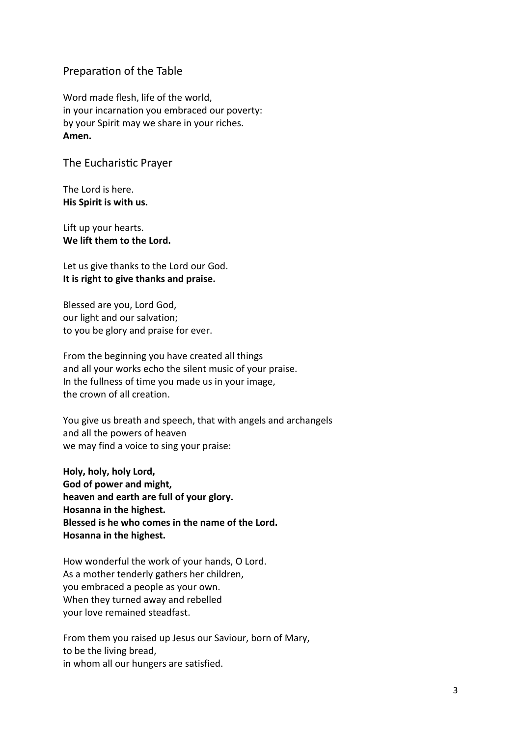#### Preparation of the Table

Word made flesh, life of the world, in your incarnation you embraced our poverty: by your Spirit may we share in your riches. **Amen.**

The Eucharistic Prayer

The Lord is here. **His Spirit is with us.**

Lift up your hearts. **We lift them to the Lord.**

Let us give thanks to the Lord our God. **It is right to give thanks and praise.**

Blessed are you, Lord God, our light and our salvation; to you be glory and praise for ever.

From the beginning you have created all things and all your works echo the silent music of your praise. In the fullness of time you made us in your image, the crown of all creation.

You give us breath and speech, that with angels and archangels and all the powers of heaven we may find a voice to sing your praise:

**Holy, holy, holy Lord, God of power and might, heaven and earth are full of your glory. Hosanna in the highest. Blessed is he who comes in the name of the Lord. Hosanna in the highest.**

How wonderful the work of your hands, O Lord. As a mother tenderly gathers her children, you embraced a people as your own. When they turned away and rebelled your love remained steadfast.

From them you raised up Jesus our Saviour, born of Mary, to be the living bread, in whom all our hungers are satisfied.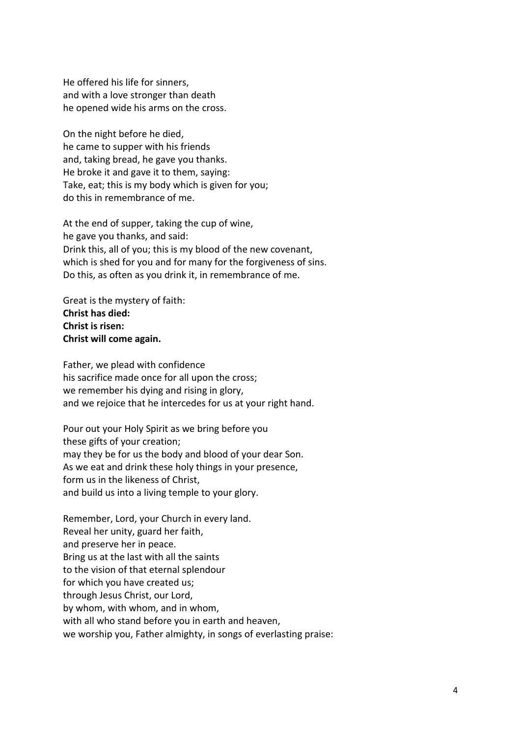He offered his life for sinners, and with a love stronger than death he opened wide his arms on the cross.

On the night before he died, he came to supper with his friends and, taking bread, he gave you thanks. He broke it and gave it to them, saying: Take, eat; this is my body which is given for you; do this in remembrance of me.

At the end of supper, taking the cup of wine, he gave you thanks, and said: Drink this, all of you; this is my blood of the new covenant, which is shed for you and for many for the forgiveness of sins. Do this, as often as you drink it, in remembrance of me.

Great is the mystery of faith: **Christ has died: Christ is risen: Christ will come again.**

Father, we plead with confidence his sacrifice made once for all upon the cross; we remember his dying and rising in glory, and we rejoice that he intercedes for us at your right hand.

Pour out your Holy Spirit as we bring before you these gifts of your creation; may they be for us the body and blood of your dear Son. As we eat and drink these holy things in your presence, form us in the likeness of Christ, and build us into a living temple to your glory.

Remember, Lord, your Church in every land. Reveal her unity, guard her faith, and preserve her in peace. Bring us at the last with all the saints to the vision of that eternal splendour for which you have created us; through Jesus Christ, our Lord, by whom, with whom, and in whom, with all who stand before you in earth and heaven, we worship you, Father almighty, in songs of everlasting praise: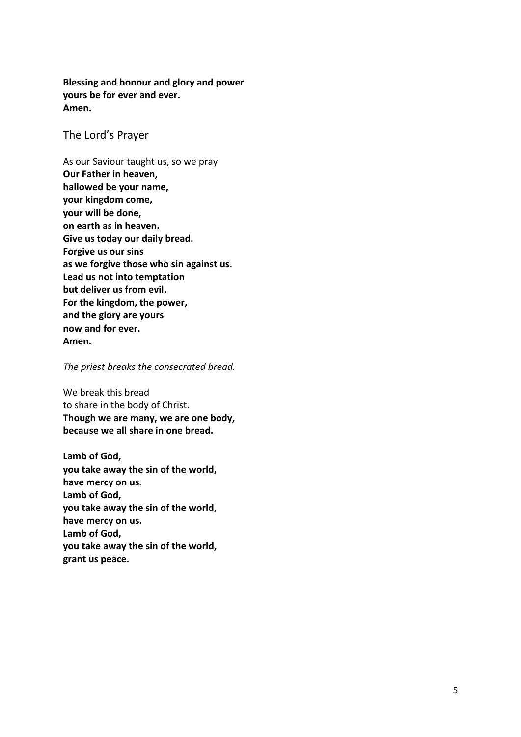**Blessing and honour and glory and power yours be for ever and ever. Amen.**

The Lord 's Prayer

As our Saviour taught us, so we pray **Our Father in heaven, hallowed be your name, your kingdom come, your will be done, on earth as in heaven. Give us today our daily bread. Forgive us our sins as we forgive those who sin against us. Lead us not into temptation but deliver us from evil. For the kingdom, the power, and the glory are yours now and for ever. Amen.**

*The priest breaks the consecrated bread.*

We break this bread to share in the body of Christ. **Though we are many, we are one body, because we all share in one bread.**

**Lamb of God, you take away the sin of the world, have mercy on us. Lamb of God, you take away the sin of the world, have mercy on us. Lamb of God, you take away the sin of the world, grant us peace.**